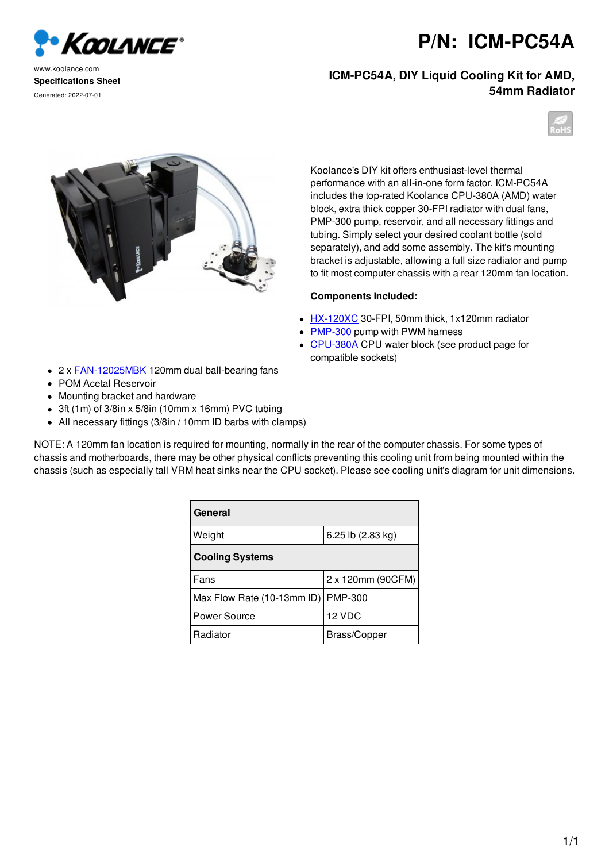## **P/N: ICM-PC54A**

**ICM-PC54A, DIY Liquid Cooling Kit for AMD, 54mm Radiator**







## **Components Included:**

- HX-120XC 30-FPI, 50mm thick, 1x120mm radiator
- PMP-300 pump with PWM harness
- CPU-380A CPU water block (see product page for compatible sockets)
- 2 x FAN-12025MBK 120mm dual ball-bearing fans
- POM Acetal Reservoir
- Mounting bracket and hardware
- 3ft (1m) of 3/8in x 5/8in (10mm x 16mm) PVC tubing
- All necessary fittings (3/8in / 10mm ID barbs with clamps)

NOTE: A 120mm fan location is required for mounting, normally in the rear of the computer chassis. For some types of chassis and motherboards, there may be other physical conflicts preventing this cooling unit from being mounted within the chassis (such as especially tall VRM heat sinks near the CPU socket). Please see cooling unit's diagram for unit dimensions.

| General                    |                   |
|----------------------------|-------------------|
| Weight                     | 6.25 lb (2.83 kg) |
| <b>Cooling Systems</b>     |                   |
| Fans                       | 2 x 120mm (90CFM) |
| Max Flow Rate (10-13mm ID) | <b>PMP-300</b>    |
| Power Source               | 12 VDC            |
| Radiator                   | Brass/Copper      |





www.koolance.com **Specifications Sheet** Generated: 2022-07-01